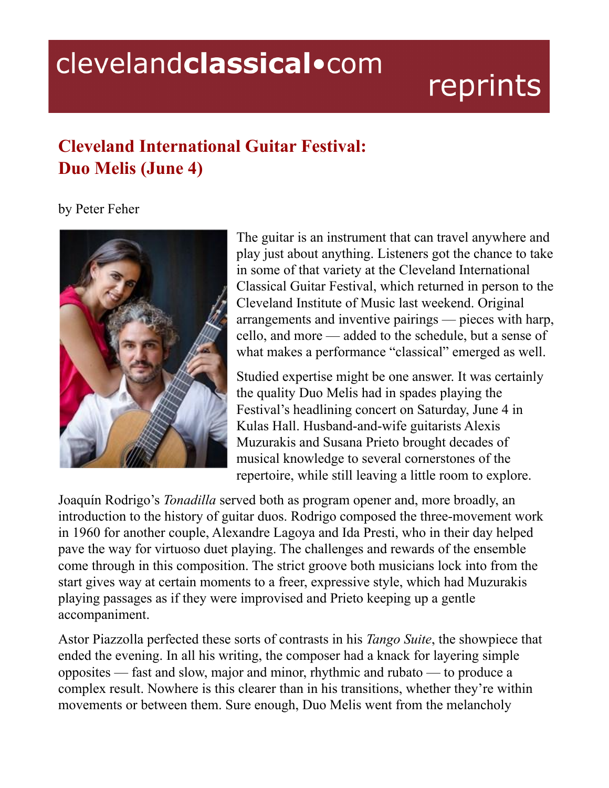## clevelandclassical.com

## reprints

## **Cleveland International Guitar Festival: Duo Melis (June 4)**

## by Peter Feher



The guitar is an instrument that can travel anywhere and play just about anything. Listeners got the chance to take in some of that variety at the Cleveland International Classical Guitar Festival, which returned in person to the Cleveland Institute of Music last weekend. Original arrangements and inventive pairings — pieces with harp, cello, and more — added to the schedule, but a sense of what makes a performance "classical" emerged as well.

Studied expertise might be one answer. It was certainly the quality Duo Melis had in spades playing the Festival's headlining concert on Saturday, June 4 in Kulas Hall. Husband-and-wife guitarists Alexis Muzurakis and Susana Prieto brought decades of musical knowledge to several cornerstones of the repertoire, while still leaving a little room to explore.

Joaquín Rodrigo's *Tonadilla* served both as program opener and, more broadly, an introduction to the history of guitar duos. Rodrigo composed the three-movement work in 1960 for another couple, Alexandre Lagoya and Ida Presti, who in their day helped pave the way for virtuoso duet playing. The challenges and rewards of the ensemble come through in this composition. The strict groove both musicians lock into from the start gives way at certain moments to a freer, expressive style, which had Muzurakis playing passages as if they were improvised and Prieto keeping up a gentle accompaniment.

Astor Piazzolla perfected these sorts of contrasts in his *Tango Suite*, the showpiece that ended the evening. In all his writing, the composer had a knack for layering simple opposites — fast and slow, major and minor, rhythmic and rubato — to produce a complex result. Nowhere is this clearer than in his transitions, whether they're within movements or between them. Sure enough, Duo Melis went from the melancholy